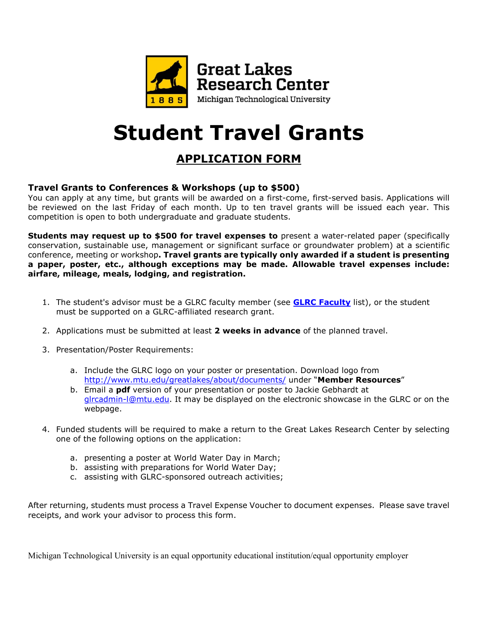

# **Student Travel Grants**

# **APPLICATION FORM**

### **Travel Grants to Conferences & Workshops (up to \$500)**

You can apply at any time, but grants will be awarded on a first-come, first-served basis. Applications will be reviewed on the last Friday of each month. Up to ten travel grants will be issued each year. This competition is open to both undergraduate and graduate students.

**Students may request up to \$500 for travel expenses to** present a water-related paper (specifically conservation, sustainable use, management or significant surface or groundwater problem) at a scientific conference, meeting or workshop**. Travel grants are typically only awarded if a student is presenting a paper, poster, etc., although exceptions may be made. Allowable travel expenses include: airfare, mileage, meals, lodging, and registration.** 

- 1. The student's advisor must be a GLRC faculty member (see **GLRC [Faculty](http://www.mtu.edu/greatlakes/contact/faculty-staff/)** list), or the student must be supported on a GLRC-affiliated research grant.
- 2. Applications must be submitted at least **2 weeks in advance** of the planned travel.
- 3. Presentation/Poster Requirements:
	- a. Include the GLRC logo on your poster or presentation. Download logo from <http://www.mtu.edu/greatlakes/about/documents/> under "**Member Resources**"
	- b. Email a **pdf** version of your presentation or poster to Jackie Gebhardt at [glrcadmin-l@mtu.edu.](mailto:glrcadmin-l@mtu.edu) It may be displayed on the electronic showcase in the GLRC or on the webpage.
- 4. Funded students will be required to make a return to the Great Lakes Research Center by selecting one of the following options on the application:
	- a. presenting a poster at World Water Day in March;
	- b. assisting with preparations for World Water Day;
	- c. assisting with GLRC-sponsored outreach activities;

After returning, students must process a Travel Expense Voucher to document expenses. Please save travel receipts, and work your advisor to process this form.

Michigan Technological University is an equal opportunity educational institution/equal opportunity employer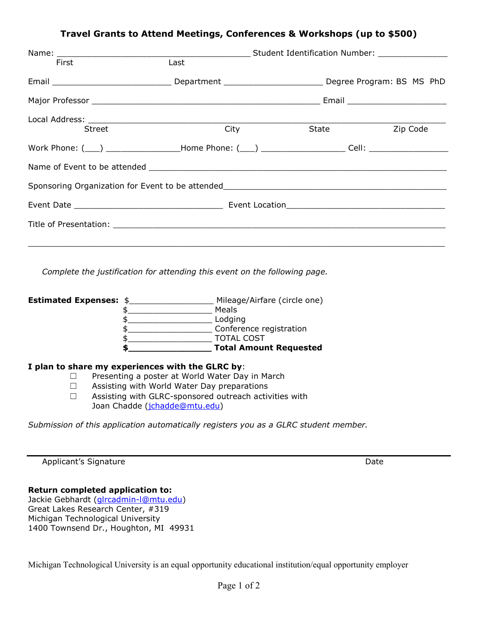### **Travel Grants to Attend Meetings, Conferences & Workshops (up to \$500)**

| First         | Last                                                                                                            |  |                |  |
|---------------|-----------------------------------------------------------------------------------------------------------------|--|----------------|--|
|               | Email __________________________________Department _______________________________Degree Program: BS MS PhD     |  |                |  |
|               |                                                                                                                 |  |                |  |
|               |                                                                                                                 |  |                |  |
| <b>Street</b> | <b>City City</b>                                                                                                |  | State Zip Code |  |
|               | Work Phone: (\equi) \Resonance Compare Phone: (\equi) \Reconomic Compare Cell: \Reconomic Cell: \Reconomic Cell |  |                |  |
|               |                                                                                                                 |  |                |  |
|               |                                                                                                                 |  |                |  |
|               |                                                                                                                 |  |                |  |
|               |                                                                                                                 |  |                |  |
|               |                                                                                                                 |  |                |  |

*Complete the justification for attending this event on the following page.*

| <b>Estimated Expenses: \$</b> | Mileage/Airfare (circle one)  |
|-------------------------------|-------------------------------|
|                               | Meals                         |
|                               | Lodging                       |
|                               | Conference registration       |
|                               | <b>TOTAL COST</b>             |
|                               | <b>Total Amount Requested</b> |
|                               |                               |

#### **I plan to share my experiences with the GLRC by**:

- ☐ Presenting a poster at World Water Day in March
- ☐ Assisting with World Water Day preparations
- ☐ Assisting with GLRC-sponsored outreach activities with Joan Chadde [\(jchadde@mtu.edu\)](mailto:jchadde@mtu.edu)

*Submission of this application automatically registers you as a GLRC student member.*

Applicant's Signature **Date** Date of *Applicant's* Signature Date of *Date* Date of *Date* Date

#### **Return completed application to:**

Jackie Gebhardt [\(glrcadmin-l@mtu.edu\)](mailto:glrcadmin-l@mtu.edu) Great Lakes Research Center, #319 Michigan Technological University 1400 Townsend Dr., Houghton, MI 49931

Michigan Technological University is an equal opportunity educational institution/equal opportunity employer